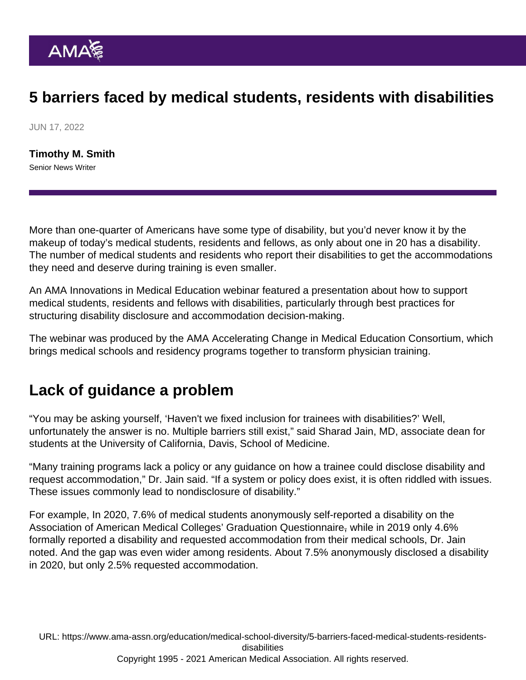## 5 barriers faced by medical students, residents with disabilities

JUN 17, 2022

[Timothy M. Smith](https://www.ama-assn.org/news-leadership-viewpoints/authors-news-leadership-viewpoints/timothy-m-smith) Senior News Writer

More than one-quarter of Americans have some type of disability, but you'd never know it by the makeup of today's medical students, residents and fellows, as only about one in 20 has a disability. The number of medical students and residents who report their disabilities to get the accommodations they need and deserve during training is even smaller.

An AMA Innovations in Medical Education webinar featured a presentation about how to support medical students, residents and fellows with disabilities, particularly through best practices for structuring disability disclosure and accommodation decision-making.

The webinar was produced by the [AMA Accelerating Change in Medical Education Consortium,](https://www.ama-assn.org/topics/accelerating-change-medical-education-consortium) which brings medical schools and residency programs together to transform physician training.

## Lack of guidance a problem

"You may be asking yourself, 'Haven't we fixed inclusion for trainees with disabilities?' Well, unfortunately the answer is no. Multiple barriers still exist," said Sharad Jain, MD, associate dean for students at the University of California, Davis, School of Medicine.

"Many training programs lack a policy or any guidance on how a trainee could disclose disability and request accommodation," Dr. Jain said. "If a system or policy does exist, it is often riddled with issues. These issues commonly lead to nondisclosure of disability."

For example, In 2020, 7.6% of medical students anonymously self-reported a disability on the Association of American Medical Colleges' Graduation Questionnaire, while in 2019 only 4.6% formally reported a disability and requested accommodation from their medical schools, Dr. Jain noted. And the gap was even wider among residents. About 7.5% anonymously disclosed a disability in 2020, but only 2.5% requested accommodation.

URL: [https://www.ama-assn.org/education/medical-school-diversity/5-barriers-faced-medical-students-residents](https://www.ama-assn.org/education/medical-school-diversity/5-barriers-faced-medical-students-residents-disabilities)[disabilities](https://www.ama-assn.org/education/medical-school-diversity/5-barriers-faced-medical-students-residents-disabilities)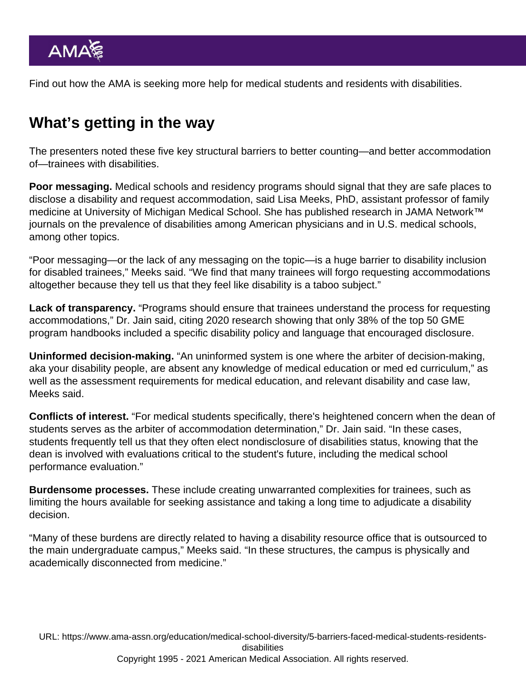Find out how the AMA is seeking more [help for medical students and residents with disabilities.](https://www.ama-assn.org/education/medical-school-diversity/ama-seeks-more-help-medical-students-residents-disabilities)

## What's getting in the way

The presenters noted these five key structural barriers to better counting—and better accommodation of—trainees with disabilities.

Poor messaging. Medical schools and residency programs should signal that they are safe places to disclose a disability and request accommodation, said Lisa Meeks, PhD, assistant professor of family medicine at University of Michigan Medical School. She has published research in [JAMA Network™](https://jamanetwork.com/) journals on the prevalence of [disabilities among American physicians](https://jamanetwork.com/journals/jamanetworkopen/fullarticle/2777420) and [in U.S. medical schools,](https://jamanetwork.com/journals/jama/fullarticle/2756168) among other topics.

"Poor messaging—or the lack of any messaging on the topic—is a huge barrier to disability inclusion for disabled trainees," Meeks said. "We find that many trainees will forgo requesting accommodations altogether because they tell us that they feel like disability is a taboo subject."

Lack of transparency. "Programs should ensure that trainees understand the process for requesting accommodations," Dr. Jain said, citing 2020 research showing that only 38% of the top 50 GME program handbooks included a specific disability policy and language that encouraged disclosure.

Uninformed decision-making. "An uninformed system is one where the arbiter of decision-making, aka your disability people, are absent any knowledge of medical education or med ed curriculum," as well as the assessment requirements for medical education, and relevant disability and case law, Meeks said.

Conflicts of interest. "For medical students specifically, there's heightened concern when the dean of students serves as the arbiter of accommodation determination," Dr. Jain said. "In these cases, students frequently tell us that they often elect nondisclosure of disabilities status, knowing that the dean is involved with evaluations critical to the student's future, including the medical school performance evaluation."

Burdensome processes. These include creating unwarranted complexities for trainees, such as limiting the hours available for seeking assistance and taking a long time to adjudicate a disability decision.

"Many of these burdens are directly related to having a disability resource office that is outsourced to the main undergraduate campus," Meeks said. "In these structures, the campus is physically and academically disconnected from medicine."

URL: [https://www.ama-assn.org/education/medical-school-diversity/5-barriers-faced-medical-students-residents](https://www.ama-assn.org/education/medical-school-diversity/5-barriers-faced-medical-students-residents-disabilities)[disabilities](https://www.ama-assn.org/education/medical-school-diversity/5-barriers-faced-medical-students-residents-disabilities)